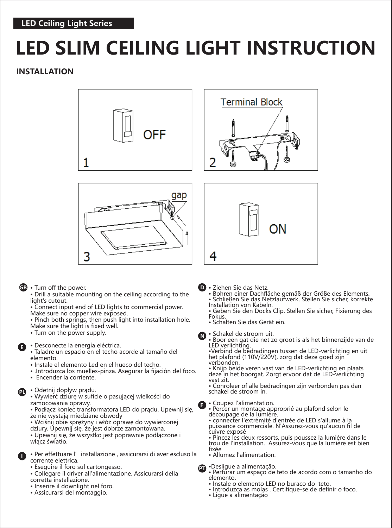# **LED SLIM CEILING LIGHT INSTRUCTION**

# **INSTALLATION**







#### • Turn off the power. **GB D**

- Drill a suitable mounting on the ceiling according to the light's cutout.
- Connect input end of LED lights to commercial power. Make sure no copper wire exposed.
- Pinch both springs, then push light into installation hole. Make sure the light is fixed well.
- Turn on the power supply.

### • Desconecte la energía eléctrica. **E**

• Taladre un espacio en el techo acorde al tamaño del elemento.

- Instale el elemento Led en el hueco del techo.
- .Introduzca los muelles-pinza. Asegurar la fijación del foco.
- Encender la corriente.

## • Odetnij dopływ prądu. **PL**

• Wywierć dziurę w suficie o pasującej wielkości do zamocowania oprawy.

• Podłącz koniec transformatora LED do prądu. Upewnij się, że nie wystają miedziane obwody

• Wciśnij obie sprężyny i włóż oprawę do wywierconej dziury. Upewnij się, że jest dobrze zamontowana.

• Upewnij się, że wszystko jest poprawnie podłączone i włącz światło.

- **1** Per effettuare l'installazione, assicurarsi di aver escluso la corrente elettrica.
	- Eseguire il foro sul cartongesso.
	- Collegare il driver all'alimentazione. Assicurarsi della corretta installazione.
	- Inserire il downlight nel foro.
	- Assicurarsi del montaggio.
- **D** Ziehen Sie das Netz.
	- Bohren einer Dachfläche gemäß der Größe des Elements. • Schließen Sie das Netzlaufwerk. Stellen Sie sicher, korrekte
	- Installation von Kabeln. • Geben Sie den Docks Clip. Stellen Sie sicher, Fixierung des
	- Fokus.

4

- Schalten Sie das Gerät ein.
- Schakel de stroom uit.

**N** Scriaker de stroom dit.<br>
• Boor een gat die net zo groot is als het binnenzijde van de LED verlichting.

•Verbind de bedradingen tussen de LED-verlichting en uit het plafond (110V/220V), zorg dat deze goed zijn verbonden.

• Knijp beide veren vast van de LED-verlichting en plaats deze in het boorgat. Zorgt ervoor dat de LED-verlichting vast zit.

• Conroleer of alle bedradingen zijn verbonden pas dan schakel de stroom in.



• Percer un montage approprié au plafond selon le découpage de la lumière.

• connecter l'extrémité d'entrée de LED s'allume à la puissance commerciale. N'Assurez-vous qu'aucun fil de cuivre exposé

• Pincez les deux ressorts, puis poussez la lumière dans le trou de l'installation. Assurez-vous que la lumière est bien fixée

• Allumez l'alimentation.

•Desligue a alimentação.

- Perfurar um espaço de teto de acordo com o tamanho do **PT** elemento.
	- Instale o elemento LED no buraco do teto.
	- Introduzca as molas . Certifique-se de definir o foco.
	- Ligue a alimentação